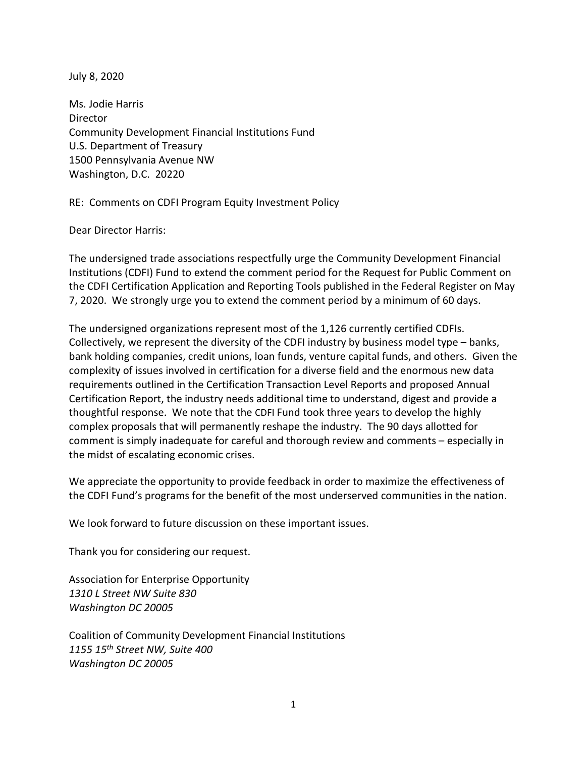July 8, 2020

Ms. Jodie Harris Director Community Development Financial Institutions Fund U.S. Department of Treasury 1500 Pennsylvania Avenue NW Washington, D.C. 20220

RE: Comments on CDFI Program Equity Investment Policy

Dear Director Harris:

The undersigned trade associations respectfully urge the Community Development Financial Institutions (CDFI) Fund to extend the comment period for the Request for Public Comment on the CDFI Certification Application and Reporting Tools published in the Federal Register on May 7, 2020. We strongly urge you to extend the comment period by a minimum of 60 days.

The undersigned organizations represent most of the 1,126 currently certified CDFIs. Collectively, we represent the diversity of the CDFI industry by business model type – banks, bank holding companies, credit unions, loan funds, venture capital funds, and others. Given the complexity of issues involved in certification for a diverse field and the enormous new data requirements outlined in the Certification Transaction Level Reports and proposed Annual Certification Report, the industry needs additional time to understand, digest and provide a thoughtful response. We note that the CDFI Fund took three years to develop the highly complex proposals that will permanently reshape the industry. The 90 days allotted for comment is simply inadequate for careful and thorough review and comments – especially in the midst of escalating economic crises.

We appreciate the opportunity to provide feedback in order to maximize the effectiveness of the CDFI Fund's programs for the benefit of the most underserved communities in the nation.

We look forward to future discussion on these important issues.

Thank you for considering our request.

Association for Enterprise Opportunity *1310 L Street NW Suite 830 Washington DC 20005* 

Coalition of Community Development Financial Institutions *1155 15th Street NW, Suite 400 Washington DC 20005*